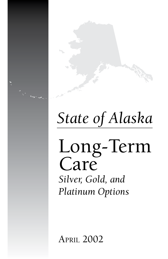# *State of Alaska*

# Long-Term Care *Silver, Gold, and Platinum Options*

April 2002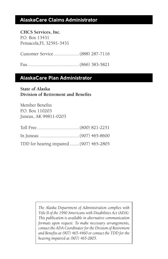#### **AlaskaCare Claims Administrator**

**CHCS Services, Inc.** P.O. Box 13431 Pensacola,FL 32591-3431

Customer Service .....................(888) 287-7116

Fax...........................................(866) 383-5821

#### **AlaskaCare Plan Administrator**

#### **State of Alaska Division of Retirement and Benefits**

Member Benefits P.O. Box 110203 Juneau, AK 99811-0203

| TDD for hearing impaired  (907) 465-2805 |  |
|------------------------------------------|--|

*The Alaska Department of Administration complies with Title II of the 1990 Americans with Disabilities Act (ADA). This publication is available in alternative communication formats upon request. To make necessary arrangements, contact the ADA Coordinator for the Division of Retirement and Benefits at (907) 465-4460 or contact the TDD for the hearing impaired at (907) 465-2805.*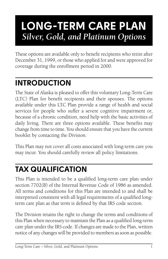# **LONG-TERM CARE PLAN** *Silver, Gold, and Platinum Options*

These options are available only to benefit recipients who retire after December 31, 1999, or those who applied for and were approved for coverage during the enrollment period in 2000.

# **INTRODUCTION**

The State of Alaska is pleased to offer this voluntary Long-Term Care (LTC) Plan for benefit recipients and their spouses. The options available under this LTC Plan provide a range of health and social services for people who suffer a severe cognitive impairment or, because of a chronic condition, need help with the basic activities of daily living. There are three options available. These benefits may change from time to time. You should ensure that you have the current booklet by contacting the Division.

This Plan may not cover all costs associated with long-term care you may incur. You should carefully review all policy limitations.

# **TAX QUALIFICATION**

This Plan is intended to be a qualified long-term care plan under section 7702(B) of the Internal Revenue Code of 1986 as amended. All terms and conditions for this Plan are intended to and shall be interpreted consistent with all legal requirements of a qualified longterm care plan as that term is defined by that IRS code section.

The Division retains the right to change the terms and conditions of this Plan when necessary to maintain the Plan as a qualified long-term care plan under the IRS code. If changes are made to the Plan, written notice of any changes will be provided to members as soon as possible.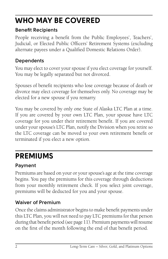# **WHO MAY BE COVERED**

#### **Benefit Recipients**

People receiving a benefit from the Public Employees', Teachers', Judicial, or Elected Public Officers' Retirement Systems (excluding alternate payees under a Qualified Domestic Relations Order).

### **Dependents**

You may elect to cover your spouse if you elect coverage for yourself. You may be legally separated but not divorced.

Spouses of benefit recipients who lose coverage because of death or divorce may elect coverage for themselves only. No coverage may be elected for a new spouse if you remarry.

You may be covered by only one State of Alaska LTC Plan at a time. If you are covered by your own LTC Plan, your spouse have LTC coverage for you under their retirement benefit. If you are covered under your spouse's LTC Plan, notify the Division when you retire so the LTC coverage can be moved to your own retirement benefit or terminated if you elect a new option.

### **PREMIUMS**

### **Payment**

Premiums are based on your or your spouse's age at the time coverage begins. You pay the premiums for this coverage through deductions from your monthly retirement check. If you select joint coverage, premiums will be deducted for you and your spouse.

### **Waiver of Premium**

Once the claims administrator begins to make benefit payments under this LTC Plan, you will not need to pay LTC premiums for that person during that benefit period (see page 11). Premium payments will resume on the first of the month following the end of that benefit period.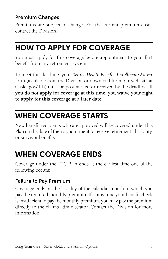#### **Premium Changes**

Premiums are subject to change. For the current premium costs, contact the Division.

### **HOW TO APPLY FOR COVERAGE**

You must apply for this coverage before appointment to your first benefit from any retirement system.

To meet this deadline, your *Retiree Health Benefits Enrollment/Waiver*  form (available from the Division or download from our web site at alaska.gov/drb) must be postmarked or received by the deadline. **If you do not apply for coverage at this time, you waive your right to apply for this coverage at a later date.**

### **WHEN COVERAGE STARTS**

New benefit recipients who are approved will be covered under this Plan on the date of their appointment to receive retirement, disability, or survivor benefits.

### **WHEN COVERAGE ENDS**

Coverage under the LTC Plan ends at the earliest time one of the following occurs:

#### **Failure to Pay Premium**

Coverage ends on the last day of the calendar month in which you pay the required monthly premium. If at any time your benefit check is insufficient to pay the monthly premium, you may pay the premium directly to the claims administrator. Contact the Division for more information.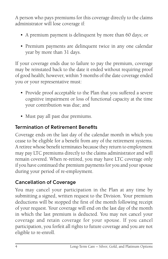A person who pays premiums for this coverage directly to the claims administrator will lose coverage if:

- A premium payment is delinquent by more than 60 days; or
- Premium payments are delinquent twice in any one calendar year by more than 31 days.

If your coverage ends due to failure to pay the premium, coverage may be reinstated back to the date it ended without requiring proof of good health; however, within 5 months of the date coverage ended you or your representative must:

- Provide proof acceptable to the Plan that you suffered a severe cognitive impairment or loss of functional capacity at the time your contribution was due; and
- Must pay all past due premiums.

#### **Termination of Retirement Benefits**

Coverage ends on the last day of the calendar month in which you cease to be eligible for a benefit from any of the retirement systems. A retiree whose benefit terminates because they return to employment may pay LTC premiums directly to the claims administrator and will remain covered. When re-retired, you may have LTC coverage only if you have continued the premium payments for you and your spouse during your period of re-employment.

### **Cancellation of Coverage**

You may cancel your participation in the Plan at any time by submitting a signed, written request to the Division. Your premium deductions will be stopped the first of the month following receipt of your request. Your coverage will end on the last day of the month in which the last premium is deducted. You may not cancel your coverage and retain coverage for your spouse. If you cancel participation, you forfeit all rights to future coverage and you are not eligible to re-enroll.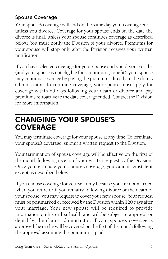### **Spouse Coverage**

Your spouse's coverage will end on the same day your coverage ends, unless you divorce. Coverage for your spouse ends on the date the divorce is final, unless your spouse continues coverage as described below. You must notify the Division of your divorce. Premiums for your spouse will stop only after the Division receives your written notification.

If you have selected coverage for your spouse and you divorce or die (and your spouse is not eligible for a continuing benefit), your spouse may continue coverage by paying the premiums directly to the claims administrator. To continue coverage, your spouse must apply for coverage within 60 days following your death or divorce and pay premiums retroactive to the date coverage ended. Contact the Division for more information.

### **CHANGING YOUR SPOUSE'S COVERAGE**

You may terminate coverage for your spouse at any time. To terminate your spouse's coverage, submit a written request to the Division.

Your termination of spouse coverage will be effective on the first of the month following receipt of your written request by the Division. Once you terminate your spouse's coverage, you cannot reinstate it except as described below.

If you choose coverage for yourself only because you are not married when you retire or if you remarry following divorce or the death of your spouse, you may request to cover your new spouse. Your request must be postmarked or received by the Division within 120 days after your marriage. Your new spouse will be required to provide information on his or her health and will be subject to approval or denial by the claims administrator. If your spouse's coverage is approved, he or she will be covered on the first of the month following the approval assuming the premium is paid.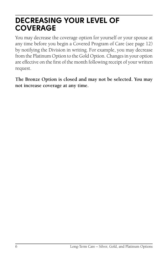### **DECREASING YOUR LEVEL OF COVERAGE**

You may decrease the coverage option for yourself or your spouse at any time before you begin a Covered Program of Care (see page 12) by notifying the Division in writing. For example, you may decrease from the Platinum Option to the Gold Option. Changes in your option are effective on the first of the month following receipt of your written request.

**The Bronze Option is closed and may not be selected. You may not increase coverage at any time.**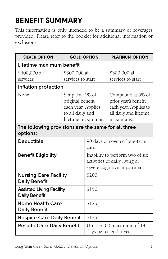## **BENEFIT SUMMARY**

This information is only intended to be a summary of coverages provided. Please refer to the booklet for additional information or exclusions.

| <b>SILVER OPTION</b>                                            | <b>GOLD OPTION</b>                                                                                  |                                                                                                 | <b>PLATINUM OPTION</b>                                                                                    |
|-----------------------------------------------------------------|-----------------------------------------------------------------------------------------------------|-------------------------------------------------------------------------------------------------|-----------------------------------------------------------------------------------------------------------|
| Lifetime maximum benefit                                        |                                                                                                     |                                                                                                 |                                                                                                           |
| \$400,000 all                                                   | \$300,000 all                                                                                       |                                                                                                 | \$300,000 all                                                                                             |
| services                                                        | services to start                                                                                   |                                                                                                 | services to start                                                                                         |
| Inflation protection                                            |                                                                                                     |                                                                                                 |                                                                                                           |
| None.                                                           | Simple at 5% of<br>original benefit<br>each year. Applies<br>to all daily and<br>lifetime maximums. |                                                                                                 | Compound at 5% of<br>prior year's benefit<br>each year. Applies to<br>all daily and lifetime<br>maximums. |
| The following provisions are the same for all three<br>options: |                                                                                                     |                                                                                                 |                                                                                                           |
| <b>Deductible</b>                                               | 90 days of covered long-term<br>care                                                                |                                                                                                 |                                                                                                           |
| <b>Benefit Eligibility</b>                                      |                                                                                                     | Inability to perform two of six<br>activities of daily living or<br>severe cognitive impairment |                                                                                                           |
| <b>Nursing Care Facility</b><br><b>Daily Benefit</b>            |                                                                                                     | \$200                                                                                           |                                                                                                           |
| <b>Assisted Living Facility</b><br><b>Daily Benefit</b>         |                                                                                                     | \$150                                                                                           |                                                                                                           |
| <b>Home Health Care</b><br><b>Daily Benefit</b>                 |                                                                                                     | \$125                                                                                           |                                                                                                           |
| \$125<br><b>Hospice Care Daily Benefit</b>                      |                                                                                                     |                                                                                                 |                                                                                                           |
| <b>Respite Care Daily Benefit</b>                               |                                                                                                     | Up to \$200, maximum of 14<br>days per calendar year                                            |                                                                                                           |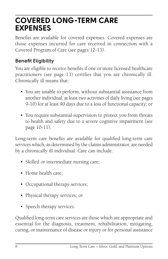### **COVERED LONG-TERM CARE EXPENSES**

Benefits are available for covered expenses. Covered expenses are those expenses incurred for care received in connection with a Covered Program of Care (see pages 12-13).

### **Benefit Eligibility**

You are eligible to receive benefits if one or more licensed healthcare practitioners (see page 13) certifies that you are chronically ill. Chronically ill means that:

- You are unable to perform, without substantial assistance from another individual, at least two activities of daily living (see pages 9-10) for at least 90 days due to a loss of functional capacity; or
- You require substantial supervision to protect you from threats to health and safety due to a severe cognitive impairment (see page 10-11).

Long-term care benefits are available for qualified long-term care services which, as determined by the claims administrator, are needed by a chronically ill individual. Care can include:

- Skilled or intermediate nursing care;
- Home health care;
- Occupational therapy services;
- Physical therapy services; or
- Speech therapy services.

Qualified long-term care services are those which are appropriate and essential for the diagnosis, treatment, rehabilitation, mitigating, curing, or maintenance of disease or injury or for personal assistance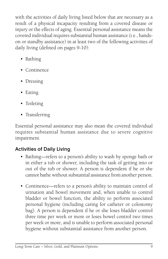with the activities of daily living listed below that are necessary as a result of a physical incapacity resulting from a covered disease or injury or the effects of aging. Essential personal assistance means the covered individual requires substantial human assistance (i.e., handson or standby assistance) in at least two of the following activities of daily living (defined on pages 9-10):

- Bathing
- Continence
- Dressing
- Eating
- Toileting
- Transferring

Essential personal assistance may also mean the covered individual requires substantial human assistance due to severe cognitive impairment.

#### **Activities of Daily Living**

- Bathing—refers to a person's ability to wash by sponge bath or in either a tub or shower, including the task of getting into or out of the tub or shower. A person is dependent if he or she cannot bathe without substantial assistance from another person.
- Continence—refers to a person's ability to maintain control of urination and bowel movement and, when unable to control bladder or bowel function, the ability to perform associated personal hygiene (including caring for catheter or colostomy bag). A person is dependent if he or she loses bladder control three time per week or more or loses bowel control two times per week or more, and is unable to perform associated personal hygiene without substantial assistance from another person.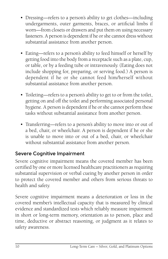- Dressing—refers to a person's ability to get clothes—including undergarments, outer garments, braces, or artificial limbs if worn—from closets or drawers and put them on using necessary fasteners. A person is dependent if he or she cannot dress without substantial assistance from another person.
- Eating—refers to a person's ability to feed himself or herself by getting food into the body from a receptacle such as a plate, cup, or table, or by a feeding tube or intravenously. (Eating does not include shopping for, preparing, or serving food.) A person is dependent if he or she cannot feed him/herself without substantial assistance from another person.
- Toileting—refers to a person's ability to get to or from the toilet, getting on and off the toilet and performing associated personal hygiene. A person is dependent if he or she cannot perform these tasks without substantial assistance from another person.
- Transferring—refers to a person's ability to move into or out of a bed, chair, or wheelchair. A person is dependent if he or she is unable to move into or out of a bed, chair, or wheelchair without substantial assistance from another person.

#### **Severe Cognitive Impairment**

Severe cognitive impairment means the covered member has been certified by one or more licensed healthcare practitioners as requiring substantial supervision or verbal cueing by another person in order to protect the covered member and others from serious threats to health and safety.

Severe cognitive impairment means a deterioration or loss in the covered member's intellectual capacity that is measured by clinical evidence and standardized tests which reliably measure impairment in short or long-term memory, orientation as to person, place and time, deductive or abstract reasoning, or judgment as it relates to safety awareness.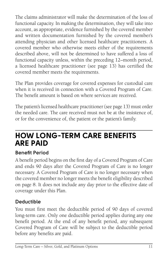The claims administrator will make the determination of the loss of functional capacity. In making the determination, they will take into account, as appropriate, evidence furnished by the covered member and written documentation furnished by the covered member's attending physician and other licensed healthcare practitioners. A covered member who otherwise meets either of the requirements described above, will not be determined to have suffered a loss of functional capacity unless, within the preceding 12–month period, a licensed healthcare practitioner (see page 13) has certified the covered member meets the requirements.

The Plan provides coverage for covered expenses for custodial care when it is received in connection with a Covered Program of Care. The benefit amount is based on where services are received.

The patient's licensed healthcare practitioner (see page 13) must order the needed care. The care received must not be at the insistence of, or for the convenience of, the patient or the patient's family.

### **HOW LONG-TERM CARE BENEFITS ARE PAID**

### **Benefit Period**

A benefit period begins on the first day of a Covered Program of Care and ends 90 days after the Covered Program of Care is no longer necessary. A Covered Program of Care is no longer necessary when the covered member no longer meets the benefit eligibility described on page 8. It does not include any day prior to the effective date of coverage under this Plan.

#### **Deductible**

You must first meet the deductible period of 90 days of covered long-term care. Only one deductible period applies during any one benefit period. At the end of any benefit period, any subsequent Covered Program of Care will be subject to the deductible period before any benefits are paid.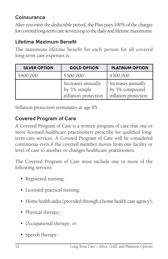### **Coinsurance**

After you meet the deductible period, the Plan pays 100% of the charges for covered long-term care services up to the daily and lifetime maximums.

### **Lifetime Maximum Benefit**

The maximum lifetime benefit for each person for all covered long-term care expenses is:

| <b>SILVER OPTION</b> | <b>GOLD OPTION</b>                                         | <b>PLATINUM OPTION</b>                                       |
|----------------------|------------------------------------------------------------|--------------------------------------------------------------|
| \$400,000            | \$300,000                                                  | \$300,000                                                    |
|                      | Increases annually<br>by 5% simple<br>inflation protection | Increases annually<br>by 5% compound<br>inflation protection |

Inflation protection terminates at age 85.

### **Covered Program of Care**

A Covered Program of Care is a written program of care that one or more licensed healthcare practitioners prescribe for qualified longterm care services. A Covered Program of Care will be considered continuous even if the covered member moves from one facility or level of care to another or changes healthcare practitioners.

The Covered Program of Care must include one or more of the following services:

- Registered nursing;
- Licensed practical nursing;
- Home health aides (provided through a home health care agency);
- Physical therapy;
- Occupational therapy; or
- Speech therapy.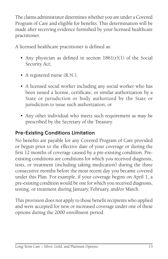The claims administrator determines whether you are under a Covered Program of Care and eligible for benefits. This determination will be made after receiving evidence furnished by your licensed healthcare practitioner.

A licensed healthcare practitioner is defined as:

- Any physician as defined in section  $1861(r)(1)$  of the Social Security Act;
- A registered nurse (R.N.);
- A licensed social worker including any social worker who has been issued a license, certificate, or similar authorization by a State or jurisdiction or body authorized by the State or jurisdiction to issue such authorization; or
- Any other individual who meets such requirement as may be prescribed by the Secretary of the Treasury.

### **Pre-Existing Conditions Limitation**

No benefits are payable for any Covered Program of Care provided or begun prior to the effective date of your coverage or during the first 12 months of coverage caused by a pre-existing condition. Preexisting conditions are conditions for which you received diagnosis, tests, or treatment (including taking medication) during the three consecutive months before the most recent day you became covered under this Plan. For example, if your coverage begins on April 1, a pre-existing condition would be one for which you received diagnosis, testing, or treatment during January, February, and/or March.

This provision does not apply to those benefit recipients who applied and were accepted for new or increased coverage under one of these options during the 2000 enrollment period.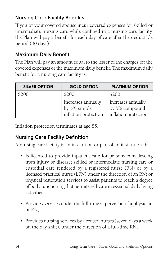### **Nursing Care Facility Benefits**

If you or your covered spouse incur covered expenses for skilled or intermediate nursing care while confined in a nursing care facility, the Plan will pay a benefit for each day of care after the deductible period (90 days).

### **Maximum Daily Benefit**

The Plan will pay an amount equal to the lesser of the charges for the covered expenses or the maximum daily benefit. The maximum daily benefit for a nursing care facility is:

| <b>SILVER OPTION</b> | <b>GOLD OPTION</b>                                         | <b>PLATINUM OPTION</b>                                       |
|----------------------|------------------------------------------------------------|--------------------------------------------------------------|
| 5200                 | \$200                                                      | \$200                                                        |
|                      | Increases annually<br>by 5% simple<br>inflation protection | Increases annually<br>by 5% compound<br>inflation protection |

Inflation protection terminates at age 85.

### **Nursing Care Facility Definition**

A nursing care facility is an institution or part of an institution that:

- Is licensed to provide inpatient care for persons convalescing from injury or disease; skilled or intermediate nursing care or custodial care rendered by a registered nurse (RN) or by a licensed practical nurse (LPN) under the direction of an RN; or physical restoration services to assist patients to reach a degree of body functioning that permits self-care in essential daily living activities;
- Provides services under the full-time supervision of a physician or RN;
- Provides nursing services by licensed nurses (seven days a week on the day shift), under the direction of a full-time RN;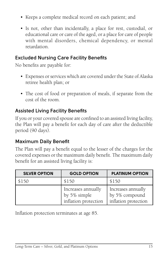- Keeps a complete medical record on each patient; and
- Is not, other than incidentally, a place for rest, custodial, or educational care or care of the aged, or a place for care of people with mental disorders, chemical dependency, or mental retardation.

#### **Excluded Nursing Care Facility Benefits**

No benefits are payable for:

- Expenses or services which are covered under the State of Alaska retiree health plan; or
- The cost of food or preparation of meals, if separate from the cost of the room.

### **Assisted Living Facility Benefits**

If you or your covered spouse are confined to an assisted living facility, the Plan will pay a benefit for each day of care after the deductible period (90 days).

#### **Maximum Daily Benefit**

The Plan will pay a benefit equal to the lesser of the charges for the covered expenses or the maximum daily benefit. The maximum daily benefit for an assisted living facility is:

| <b>SILVER OPTION</b> | <b>GOLD OPTION</b>                                         | <b>PLATINUM OPTION</b>                                       |
|----------------------|------------------------------------------------------------|--------------------------------------------------------------|
| \$150                | \$150                                                      | \$150                                                        |
|                      | Increases annually<br>by 5% simple<br>inflation protection | Increases annually<br>by 5% compound<br>inflation protection |

Inflation protection terminates at age 85.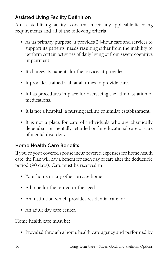### **Assisted Living Facility Definition**

An assisted living facility is one that meets any applicable licensing requirements and all of the following criteria:

- As its primary purpose, it provides 24-hour care and services to support its patients' needs resulting either from the inability to perform certain activities of daily living or from severe cognitive impairment.
- It charges its patients for the services it provides.
- It provides trained staff at all times to provide care.
- It has procedures in place for overseeing the administration of medications.
- It is not a hospital, a nursing facility, or similar establishment.
- It is not a place for care of individuals who are chemically dependent or mentally retarded or for educational care or care of mental disorders.

### **Home Health Care Benefits**

If you or your covered spouse incur covered expenses for home health care, the Plan will pay a benefit for each day of care after the deductible period (90 days). Care must be received in:

- Your home or any other private home;
- A home for the retired or the aged;
- An institution which provides residential care; or
- An adult day care center.

Home health care must be:

• Provided through a home health care agency and performed by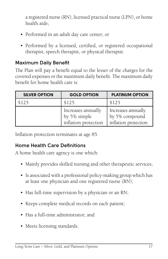a registered nurse (RN), licensed practical nurse (LPN), or home health aide;

- Performed in an adult day care center; or
- Performed by a licensed, certified, or registered occupational therapist, speech therapist, or physical therapist.

#### **Maximum Daily Benefit**

The Plan will pay a benefit equal to the lesser of the charges for the covered expenses or the maximum daily benefit. The maximum daily benefit for home health care is:

| <b>SILVER OPTION</b> | <b>GOLD OPTION</b>                                         | <b>PLATINUM OPTION</b>                                       |
|----------------------|------------------------------------------------------------|--------------------------------------------------------------|
| \$125                | \$125                                                      | \$125                                                        |
|                      | Increases annually<br>by 5% simple<br>inflation protection | Increases annually<br>by 5% compound<br>inflation protection |

Inflation protection terminates at age 85.

#### **Home Health Care Definitions**

A home health care agency is one which:

- Mainly provides skilled nursing and other therapeutic services;
- Is associated with a professional policy-making group which has at least one physician and one registered nurse (RN);
- Has full-time supervision by a physician or an RN;
- Keeps complete medical records on each patient;
- Has a full-time administrator; and
- Meets licensing standards.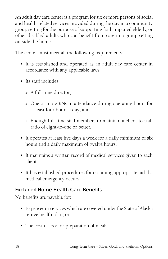An adult day care center is a program for six or more persons of social and health-related services provided during the day in a community group setting for the purpose of supporting frail, impaired elderly, or other disabled adults who can benefit from care in a group setting outside the home.

The center must meet all the following requirements:

- It is established and operated as an adult day care center in accordance with any applicable laws.
- Its staff includes:
	- » A full-time director;
	- » One or more RNs in attendance during operating hours for at least four hours a day; and
	- » Enough full-time staff members to maintain a client-to-staff ratio of eight-to-one or better.
- It operates at least five days a week for a daily minimum of six hours and a daily maximum of twelve hours.
- It maintains a written record of medical services given to each client.
- It has established procedures for obtaining appropriate aid if a medical emergency occurs.

#### **Excluded Home Health Care Benefits**

No benefits are payable for:

- Expenses or services which are covered under the State of Alaska retiree health plan; or
- The cost of food or preparation of meals.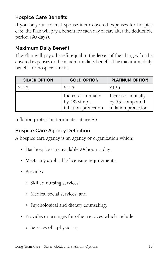### **Hospice Care Benefits**

If you or your covered spouse incur covered expenses for hospice care, the Plan will pay a benefit for each day of care after the deductible period (90 days).

#### **Maximum Daily Benefit**

The Plan will pay a benefit equal to the lesser of the charges for the covered expenses or the maximum daily benefit. The maximum daily benefit for hospice care is:

| <b>SILVER OPTION</b> | <b>GOLD OPTION</b>                                         | <b>PLATINUM OPTION</b>                                       |
|----------------------|------------------------------------------------------------|--------------------------------------------------------------|
| \$125                | \$125                                                      | \$125                                                        |
|                      | Increases annually<br>by 5% simple<br>inflation protection | Increases annually<br>by 5% compound<br>inflation protection |

Inflation protection terminates at age 85.

#### **Hospice Care Agency Definition**

A hospice care agency is an agency or organization which:

- Has hospice care available 24 hours a day;
- Meets any applicable licensing requirements;
- Provides:
	- » Skilled nursing services;
	- » Medical social services; and
	- » Psychological and dietary counseling.
- Provides or arranges for other services which include:
	- » Services of a physician;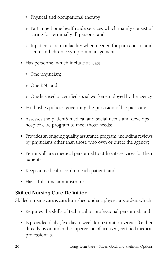- » Physical and occupational therapy;
- » Part-time home health aide services which mainly consist of caring for terminally ill persons; and
- » Inpatient care in a facility when needed for pain control and acute and chronic symptom management.
- Has personnel which include at least:
	- » One physician;
	- » One RN; and
	- » One licensed or certified social worker employed by the agency.
- Establishes policies governing the provision of hospice care;
- Assesses the patient's medical and social needs and develops a hospice care program to meet those needs;
- Provides an ongoing quality assurance program, including reviews by physicians other than those who own or direct the agency;
- Permits all area medical personnel to utilize its services for their patients;
- Keeps a medical record on each patient; and
- Has a full-time administrator.

#### **Skilled Nursing Care Definition**

Skilled nursing care is care furnished under a physician's orders which:

- Requires the skills of technical or professional personnel; and
- Is provided daily (five days a week for restoration services) either directly by or under the supervision of licensed, certified medical professionals.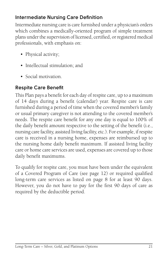### **Intermediate Nursing Care Definition**

Intermediate nursing care is care furnished under a physician's orders which combines a medically-oriented program of simple treatment plans under the supervision of licensed, certified, or registered medical professionals, with emphasis on:

- Physical activity;
- Intellectual stimulation; and
- Social motivation.

### **Respite Care Benefit**

This Plan pays a benefit for each day of respite care, up to a maximum of 14 days during a benefit (calendar) year. Respite care is care furnished during a period of time when the covered member's family or usual primary caregiver is not attending to the covered member's needs. The respite care benefit for any one day is equal to 100% of the daily benefit amount respective to the setting of the benefit (i.e., nursing care facility, assisted living facility, etc.). For example, if respite care is received in a nursing home, expenses are reimbursed up to the nursing home daily benefit maximum. If assisted living facility care or home care services are used, expenses are covered up to those daily benefit maximums.

To qualify for respite care, you must have been under the equivalent of a Covered Program of Care (see page 12) or required qualified long-term care services as listed on page 8 for at least 90 days. However, you do not have to pay for the first 90 days of care as required by the deductible period.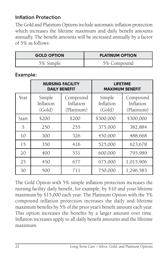### **Inflation Protection**

The Gold and Platinum Options include automatic inflation protection which increases the lifetime maximum and daily benefit amounts annually. The benefit amounts will be increased annually by a factor of 5% as follows:

| <b>GOLD OPTION</b> | <b>PLATINUM OPTION</b> |
|--------------------|------------------------|
| 5% Simple          | 5% Compound            |

#### **Example:**

|       | <b>NURSING FACILITY</b><br><b>DAILY BENEFIT</b> |                                     |                               | <b>LIFETIME</b><br><b>MAXIMUM BENEFIT</b> |
|-------|-------------------------------------------------|-------------------------------------|-------------------------------|-------------------------------------------|
| Year  | Simple<br>Inflation<br>(Gold)                   | Compound<br>Inflation<br>(Platinum) | Simple<br>Inflation<br>(Gold) | Compound<br>Inflation<br>(Platinum)       |
| Start | \$200                                           | \$200                               | \$300,000                     | \$300,000                                 |
| 5     | 250                                             | 255                                 | 375,000                       | 382,884                                   |
| 10    | 300                                             | 326                                 | 450,000                       | 488,668                                   |
| 15    | 350                                             | 416                                 | 525,000                       | 623,678                                   |
| 20    | 400                                             | 531                                 | 600,000                       | 795,989                                   |
| 25    | 450                                             | 677                                 | 675,000                       | 1,015,906                                 |
| 30    | 500                                             | 711                                 | 750,000                       | 1,296,583                                 |

The Gold Option with 5% simple inflation protection increases the nursing facility daily benefit, for example, by \$10 and your lifetime maximum by \$15,000 each year. The Platinum Option with the 5% compound inflation protection increases the daily and lifetime maximum benefits by 5% of the prior year's benefit amount each year. This option increases the benefits by a larger amount over time. Inflation increases apply to all daily benefit amounts and the lifetime maximum.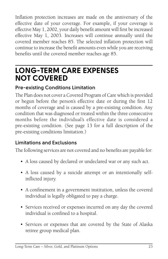Inflation protection increases are made on the anniversary of the effective date of your coverage. For example, if your coverage is effective May 1, 2002, your daily benefit amount will first be increased effective May 1, 2003. Increases will continue annually until the covered member reaches 85. The selected inflation protection will continue to increase the benefit amounts even while you are receiving benefits until the covered member reaches age 85.

### **LONG-TERM CARE EXPENSES NOT COVERED**

### **Pre-existing Conditions Limitation**

The Plan does not cover a Covered Program of Care which is provided or begun before the person's effective date or during the first 12 months of coverage and is caused by a pre-existing condition. Any condition that was diagnosed or treated within the three consecutive months before the individual's effective date is considered a pre-existing condition. (See page 13 for a full description of the pre-existing conditions limitation.)

### **Limitations and Exclusions**

The following services are not covered and no benefits are payable for:

- A loss caused by declared or undeclared war or any such act.
- A loss caused by a suicide attempt or an intentionally selfinflicted injury.
- A confinement in a government institution, unless the covered individual is legally obligated to pay a charge.
- Services received or expenses incurred on any day the covered individual is confined to a hospital.
- Services or expenses that are covered by the State of Alaska retiree group medical plan.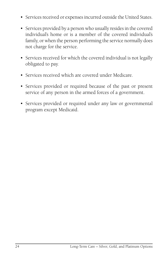- Services received or expenses incurred outside the United States.
- Services provided by a person who usually resides in the covered individual's home or is a member of the covered individual's family, or when the person performing the service normally does not charge for the service.
- Services received for which the covered individual is not legally obligated to pay.
- Services received which are covered under Medicare.
- Services provided or required because of the past or present service of any person in the armed forces of a government.
- Services provided or required under any law or governmental program except Medicaid.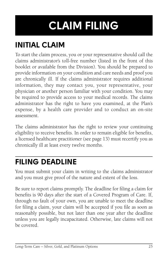# **CLAIM FILING**

# **INITIAL CLAIM**

To start the claim process, you or your representative should call the claims administrator's toll-free number (listed in the front of this booklet or available from the Division). You should be prepared to provide information on your condition and care needs and proof you are chronically ill. If the claims administrator requires additional information, they may contact you, your representative, your physician or another person familiar with your condition. You may be required to provide access to your medical records. The claims administrator has the right to have you examined, at the Plan's expense, by a health care provider and to conduct an on-site assessment.

The claims administrator has the right to review your continuing eligibility to receive benefits. In order to remain eligible for benefits, a licensed healthcare practitioner (see page 13) must recertify you as chronically ill at least every twelve months.

### **FILING DEADLINE**

You must submit your claim in writing to the claims administrator and you must give proof of the nature and extent of the loss.

Be sure to report claims promptly. The deadline for filing a claim for benefits is 90 days after the start of a Covered Program of Care. If, through no fault of your own, you are unable to meet the deadline for filing a claim, your claim will be accepted if you file as soon as reasonably possible, but not later than one year after the deadline unless you are legally incapacitated. Otherwise, late claims will not be covered.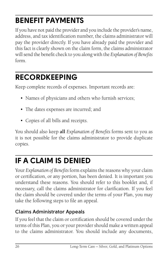# **BENEFIT PAYMENTS**

If you have not paid the provider and you include the provider's name, address, and tax identification number, the claims administrator will pay the provider directly. If you have already paid the provider and this fact is clearly shown on the claim form, the claims administrator will send the benefit check to you along with the *Explanation of Benefits*  form.

### **RECORDKEEPING**

Keep complete records of expenses. Important records are:

- Names of physicians and others who furnish services;
- The dates expenses are incurred; and
- Copies of all bills and receipts.

You should also keep **all** *Explanation of Benefits* forms sent to you as it is not possible for the claims administrator to provide duplicate copies.

### **IF A CLAIM IS DENIED**

Your *Explanation of Benefits* form explains the reasons why your claim or certification, or any portion, has been denied. It is important you understand these reasons. You should refer to this booklet and, if necessary, call the claims administrator for clarification. If you feel the claim should be covered under the terms of your Plan, you may take the following steps to file an appeal.

### **Claims Administrator Appeals**

If you feel that the claim or certification should be covered under the terms of this Plan, you or your provider should make a written appeal to the claims administrator. You should include any documents,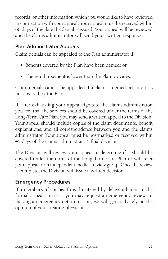records, or other information which you would like to have reviewed in connection with your appeal. Your appeal must be received within 60 days of the date the denial is issued. Your appeal will be reviewed and the claims administrator will send you a written response.

### **Plan Administrator Appeals**

Claim denials can be appealed to the Plan administrator if:

- Benefits covered by the Plan have been denied; or
- The reimbursement is lower than the Plan provides.

Claim denials cannot be appealed if a claim is denied because it is not covered by the Plan.

If, after exhausting your appeal rights to the claims administrator, you feel that the services should be covered under the terms of the Long-Term Care Plan, you may send a written appeal to the Division. Your appeal should include copies of the claim documents, benefit explanations, and all correspondence between you and the claims administrator. Your appeal must be postmarked or received within 45 days of the claims administrator's final decision.

The Division will review your appeal to determine if it should be covered under the terms of the Long-Term Care Plan or will refer your appeal to an independent medical review group. Once the review is complete, the Division will issue a written decision.

#### **Emergency Procedures**

If a member's life or health is threatened by delays inherent in the formal appeals process, you may request an emergency review. In making an emergency determination, we will generally rely on the opinion of your treating physician.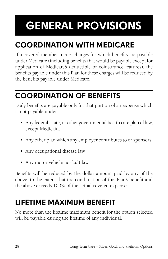# **GENERAL PROVISIONS**

# **COORDINATION WITH MEDICARE**

If a covered member incurs charges for which benefits are payable under Medicare (including benefits that would be payable except for application of Medicare's deductible or coinsurance features), the benefits payable under this Plan for these charges will be reduced by the benefits payable under Medicare.

## **COORDINATION OF BENEFITS**

Daily benefits are payable only for that portion of an expense which is not payable under:

- Any federal, state, or other governmental health care plan of law, except Medicaid.
- Any other plan which any employer contributes to or sponsors.
- Any occupational disease law.
- Any motor vehicle no-fault law.

Benefits will be reduced by the dollar amount paid by any of the above, to the extent that the combination of this Plan's benefit and the above exceeds 100% of the actual covered expenses.

### **LIFETIME MAXIMUM BENEFIT**

No more than the lifetime maximum benefit for the option selected will be payable during the lifetime of any individual.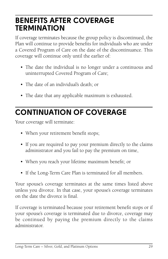### **BENEFITS AFTER COVERAGE TERMINATION**

If coverage terminates because the group policy is discontinued, the Plan will continue to provide benefits for individuals who are under a Covered Program of Care on the date of the discontinuance. This coverage will continue only until the earlier of:

- The date the individual is no longer under a continuous and uninterrupted Covered Program of Care;
- The date of an individual's death; or
- The date that any applicable maximum is exhausted.

## **CONTINUATION OF COVERAGE**

Your coverage will terminate:

- When your retirement benefit stops;
- If you are required to pay your premium directly to the claims administrator and you fail to pay the premium on time,
- When you reach your lifetime maximum benefit; or
- If the Long-Term Care Plan is terminated for all members.

Your spouse's coverage terminates at the same times listed above unless you divorce. In that case, your spouse's coverage terminates on the date the divorce is final.

If coverage is terminated because your retirement benefit stops or if your spouse's coverage is terminated due to divorce, coverage may be continued by paying the premium directly to the claims administrator.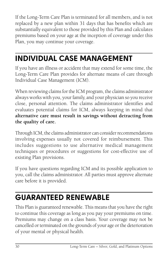If the Long-Term Care Plan is terminated for all members, and is not replaced by a new plan within 31 days that has benefits which are substantially equivalent to those provided by this Plan and calculates premiums based on your age at the inception of coverage under this Plan, you may continue your coverage.

## **INDIVIDUAL CASE MANAGEMENT**

If you have an illness or accident that may extend for some time, the Long-Term Care Plan provides for alternate means of care through Individual Case Management (ICM).

When reviewing claims for the ICM program, the claims administrator always works with you, your family, and your physician so you receive close, personal attention. The claims administrator identifies and evaluates potential claims for ICM, always keeping in mind that **alternative care must result in savings without detracting from the quality of care.**

Through ICM, the claims administrator can consider recommendations involving expenses usually not covered for reimbursement. This includes suggestions to use alternative medical management techniques or procedures or suggestions for cost-effective use of existing Plan provisions.

If you have questions regarding ICM and its possible application to you, call the claims administrator. All parties must approve alternate care before it is provided.

# **GUARANTEED RENEWABLE**

This Plan is guaranteed renewable. This means that you have the right to continue this coverage as long as you pay your premiums on time. Premiums may change on a class basis. Your coverage may not be cancelled or terminated on the grounds of your age or the deterioration of your mental or physical health.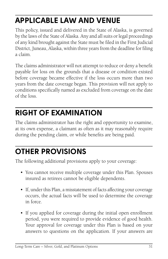## **APPLICABLE LAW AND VENUE**

This policy, issued and delivered in the State of Alaska, is governed by the laws of the State of Alaska. Any and all suits or legal proceedings of any kind brought against the State must be filed in the First Judicial District, Juneau, Alaska, within three years from the deadline for filing a claim.

The claims administrator will not attempt to reduce or deny a benefit payable for loss on the grounds that a disease or condition existed before coverage became effective if the loss occurs more than two years from the date coverage began. This provision will not apply to conditions specifically named as excluded from coverage on the date of the loss.

# **RIGHT OF EXAMINATION**

The claims administrator has the right and opportunity to examine, at its own expense, a claimant as often as it may reasonably require during the pending claim, or while benefits are being paid.

# **OTHER PROVISIONS**

The following additional provisions apply to your coverage:

- You cannot receive multiple coverage under this Plan. Spouses insured as retirees cannot be eligible dependents.
- If, under this Plan, a misstatement of facts affecting your coverage occurs, the actual facts will be used to determine the coverage in force.
- If you applied for coverage during the initial open enrollment period, you were required to provide evidence of good health. Your approval for coverage under this Plan is based on your answers to questions on the application. If your answers are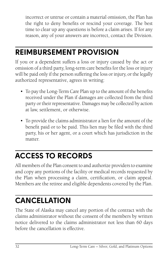incorrect or untrue or contain a material omission, the Plan has the right to deny benefits or rescind your coverage. The best time to clear up any questions is before a claim arises. If for any reason, any of your answers are incorrect, contact the Division.

### **REIMBURSEMENT PROVISION**

If you or a dependent suffers a loss or injury caused by the act or omission of a third party, long-term care benefits for the loss or injury will be paid only if the person suffering the loss or injury, or the legally authorized representative, agrees in writing:

- To pay the Long-Term Care Plan up to the amount of the benefits received under the Plan if damages are collected from the third party or their representative. Damages may be collected by action at law, settlement, or otherwise.
- To provide the claims administrator a lien for the amount of the benefit paid or to be paid. This lien may be filed with the third party, his or her agent, or a court which has jurisdiction in the matter.

# **ACCESS TO RECORDS**

All members of the Plan consent to and authorize providers to examine and copy any portions of the facility or medical records requested by the Plan when processing a claim, certification, or claim appeal. Members are the retiree and eligible dependents covered by the Plan.

# **CANCELLATION**

The State of Alaska may cancel any portion of the contract with the claims administrator without the consent of the members by written notice delivered to the claims administrator not less than 60 days before the cancellation is effective.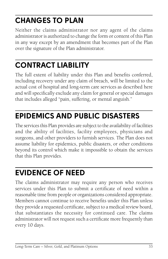# **CHANGES TO PLAN**

Neither the claims administrator nor any agent of the claims administrator is authorized to change the form or content of this Plan in any way except by an amendment that becomes part of the Plan over the signature of the Plan administrator.

# **CONTRACT LIABILITY**

The full extent of liability under this Plan and benefits conferred, including recovery under any claim of breach, will be limited to the actual cost of hospital and long-term care services as described here and will specifically exclude any claim for general or special damages that includes alleged "pain, suffering, or mental anguish."

### **EPIDEMICS AND PUBLIC DISASTERS**

The services this Plan provides are subject to the availability of facilities and the ability of facilities, facility employees, physicians and surgeons, and other providers to furnish services. The Plan does not assume liability for epidemics, public disasters, or other conditions beyond its control which make it impossible to obtain the services that this Plan provides.

### **EVIDENCE OF NEED**

The claims administrator may require any person who receives services under this Plan to submit a certificate of need within a reasonable time from people or organizations considered appropriate. Members cannot continue to receive benefits under this Plan unless they provide a requested certificate, subject to a medical review board, that substantiates the necessity for continued care. The claims administrator will not request such a certificate more frequently than every 10 days.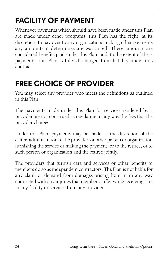# **FACILITY OF PAYMENT**

Whenever payments which should have been made under this Plan are made under other programs, this Plan has the right, at its discretion, to pay over to any organizations making other payments any amounts it determines are warranted. These amounts are considered benefits paid under this Plan, and, to the extent of these payments, this Plan is fully discharged from liability under this contract.

### **FREE CHOICE OF PROVIDER**

You may select any provider who meets the definitions as outlined in this Plan.

The payments made under this Plan for services rendered by a provider are not construed as regulating in any way the fees that the provider charges.

Under this Plan, payments may be made, at the discretion of the claims administrator, to the provider, or other person or organization furnishing the service or making the payment, or to the retiree, or to such person or organization and the retiree jointly.

The providers that furnish care and services or other benefits to members do so as independent contractors. The Plan is not liable for any claim or demand from damages arising from or in any way connected with any injuries that members suffer while receiving care in any facility or services from any provider.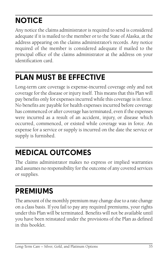# **NOTICE**

Any notice the claims administrator is required to send is considered adequate if it is mailed to the member or to the State of Alaska, at the address appearing on the claims administrator's records. Any notice required of the member is considered adequate if mailed to the principal office of the claims administrator at the address on your identification card.

### **PLAN MUST BE EFFECTIVE**

Long-term care coverage is expense-incurred coverage only and not coverage for the disease or injury itself. This means that this Plan will pay benefits only for expenses incurred while this coverage is in force. No benefits are payable for health expenses incurred before coverage has commenced or after coverage has terminated, even if the expenses were incurred as a result of an accident, injury, or disease which occurred, commenced, or existed while coverage was in force. An expense for a service or supply is incurred on the date the service or supply is furnished.

### **MEDICAL OUTCOMES**

The claims administrator makes no express or implied warranties and assumes no responsibility for the outcome of any covered services or supplies.

### **PREMIUMS**

The amount of the monthly premium may change due to a rate change on a class basis. If you fail to pay any required premiums, your rights under this Plan will be terminated. Benefits will not be available until you have been reinstated under the provisions of the Plan as defined in this booklet.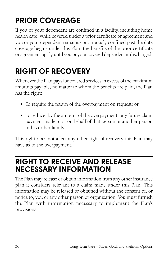# **PRIOR COVERAGE**

If you or your dependent are confined in a facility, including home health care, while covered under a prior certificate or agreement and you or your dependent remains continuously confined past the date coverage begins under this Plan, the benefits of the prior certificate or agreement apply until you or your covered dependent is discharged.

### **RIGHT OF RECOVERY**

Whenever the Plan pays for covered services in excess of the maximum amounts payable, no matter to whom the benefits are paid, the Plan has the right:

- To require the return of the overpayment on request; or
- To reduce, by the amount of the overpayment, any future claim payment made to or on behalf of that person or another person in his or her family.

This right does not affect any other right of recovery this Plan may have as to the overpayment.

### **RIGHT TO RECEIVE AND RELEASE NECESSARY INFORMATION**

The Plan may release or obtain information from any other insurance plan it considers relevant to a claim made under this Plan. This information may be released or obtained without the consent of, or notice to, you or any other person or organization. You must furnish the Plan with information necessary to implement the Plan's provisions.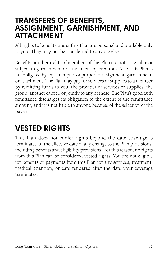### **TRANSFERS OF BENEFITS, ASSIGNMENT, GARNISHMENT, AND ATTACHMENT**

All rights to benefits under this Plan are personal and available only to you. They may not be transferred to anyone else.

Benefits or other rights of members of this Plan are not assignable or subject to garnishment or attachment by creditors. Also, this Plan is not obligated by any attempted or purported assignment, garnishment, or attachment. The Plan may pay for services or supplies to a member by remitting funds to you, the provider of services or supplies, the group, another carrier, or jointly to any of these. The Plan's good faith remittance discharges its obligation to the extent of the remittance amount, and it is not liable to anyone because of the selection of the payee.

### **VESTED RIGHTS**

This Plan does not confer rights beyond the date coverage is terminated or the effective date of any change to the Plan provisions, including benefits and eligibility provisions. For this reason, no rights from this Plan can be considered vested rights. You are not eligible for benefits or payments from this Plan for any services, treatment, medical attention, or care rendered after the date your coverage terminates.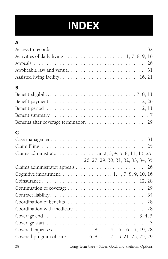

### **A**

| B                                                         |  |
|-----------------------------------------------------------|--|
|                                                           |  |
|                                                           |  |
|                                                           |  |
|                                                           |  |
|                                                           |  |
| $\mathbf C$                                               |  |
|                                                           |  |
|                                                           |  |
|                                                           |  |
| 26, 27, 29, 30, 31, 32, 33, 34, 35                        |  |
|                                                           |  |
|                                                           |  |
|                                                           |  |
|                                                           |  |
|                                                           |  |
|                                                           |  |
|                                                           |  |
|                                                           |  |
|                                                           |  |
|                                                           |  |
| Covered program of care  6, 8, 11, 12, 13, 21, 23, 25, 29 |  |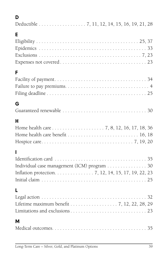| ╯ |
|---|

|--|--|

### **E**

### **F**

### **G**

|--|

### **H**

| Home health care benefit $\ldots \ldots \ldots \ldots \ldots \ldots \ldots \ldots 16, 18$ |  |  |  |
|-------------------------------------------------------------------------------------------|--|--|--|
|                                                                                           |  |  |  |

### **I**

| Individual case management (ICM) program 30         |  |
|-----------------------------------------------------|--|
| Inflation protection. 7, 12, 14, 15, 17, 19, 22, 23 |  |
|                                                     |  |

### **L**

| Legal action $\ldots \ldots \ldots \ldots \ldots \ldots \ldots \ldots \ldots \ldots \ldots \ldots \ldots$ |  |
|-----------------------------------------------------------------------------------------------------------|--|
| Lifetime maximum benefit 7, 12, 22, 28, 29                                                                |  |
|                                                                                                           |  |
|                                                                                                           |  |

#### **M**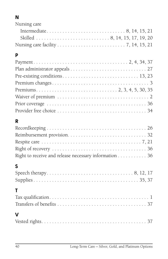### **N**

| Nursing care |  |
|--------------|--|
|              |  |
|              |  |
|              |  |

### **P**

| Prior coverage $\ldots \ldots \ldots \ldots \ldots \ldots \ldots \ldots \ldots \ldots \ldots \ldots 36$ |  |
|---------------------------------------------------------------------------------------------------------|--|
|                                                                                                         |  |

### **R**

| Right to receive and release necessary information 36 |  |
|-------------------------------------------------------|--|

#### **S**

| T.          |  |
|-------------|--|
|             |  |
|             |  |
| $\mathbf v$ |  |
|             |  |